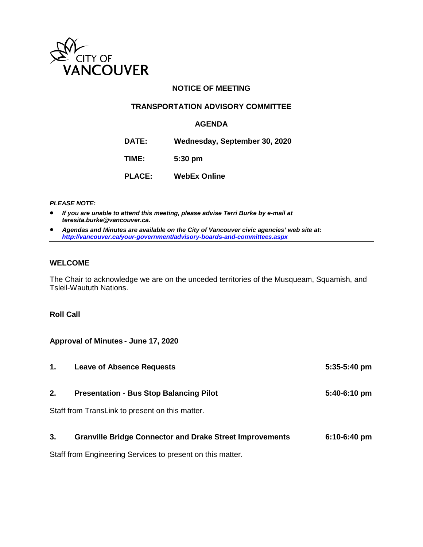

## **NOTICE OF MEETING**

#### **TRANSPORTATION ADVISORY COMMITTEE**

#### **AGENDA**

**DATE: Wednesday, September 30, 2020**

**TIME: 5:30 pm**

**PLACE: WebEx Online**

*PLEASE NOTE:*

• *If you are unable to attend this meeting, please advise Terri Burke by e-mail at teresita.burke@vancouver.ca.*

• *Agendas and Minutes are available on the City of Vancouver civic agencies' web site at: <http://vancouver.ca/your-government/advisory-boards-and-committees.aspx>*

#### **WELCOME**

The Chair to acknowledge we are on the unceded territories of the Musqueam, Squamish, and Tsleil-Waututh Nations.

#### **Roll Call**

**Approval of Minutes - June 17, 2020**

| 1. | <b>Leave of Absence Requests</b>                                | $5:35-5:40$ pm |
|----|-----------------------------------------------------------------|----------------|
| 2. | <b>Presentation - Bus Stop Balancing Pilot</b>                  | 5:40-6:10 pm   |
|    | Staff from TransLink to present on this matter.                 |                |
| 3. | <b>Granville Bridge Connector and Drake Street Improvements</b> | $6:10-6:40$ pm |

Staff from Engineering Services to present on this matter.